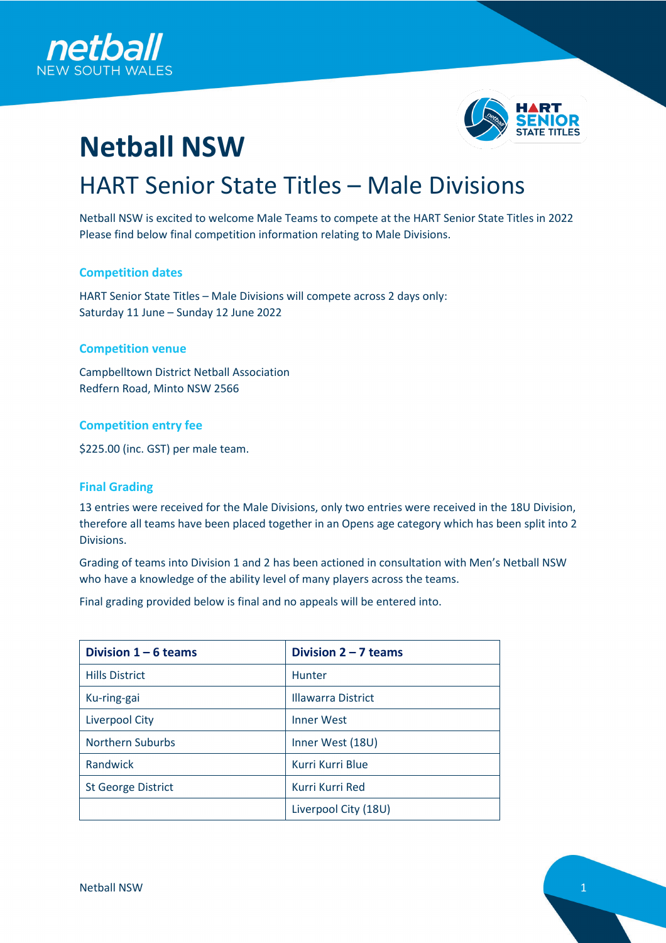



# **Netball NSW** HART Senior State Titles – Male Divisions

Netball NSW is excited to welcome Male Teams to compete at the HART Senior State Titles in 2022 Please find below final competition information relating to Male Divisions.

## **Competition dates**

HART Senior State Titles – Male Divisions will compete across 2 days only: Saturday 11 June – Sunday 12 June 2022

## **Competition venue**

Campbelltown District Netball Association Redfern Road, Minto NSW 2566

## **Competition entry fee**

\$225.00 (inc. GST) per male team.

#### **Final Grading**

13 entries were received for the Male Divisions, only two entries were received in the 18U Division, therefore all teams have been placed together in an Opens age category which has been split into 2 Divisions.

Grading of teams into Division 1 and 2 has been actioned in consultation with Men's Netball NSW who have a knowledge of the ability level of many players across the teams.

Final grading provided below is final and no appeals will be entered into.

| Division $1 - 6$ teams    | Division $2 - 7$ teams    |
|---------------------------|---------------------------|
| <b>Hills District</b>     | Hunter                    |
| Ku-ring-gai               | <b>Illawarra District</b> |
| Liverpool City            | <b>Inner West</b>         |
| <b>Northern Suburbs</b>   | Inner West (18U)          |
| Randwick                  | Kurri Kurri Blue          |
| <b>St George District</b> | Kurri Kurri Red           |
|                           | Liverpool City (18U)      |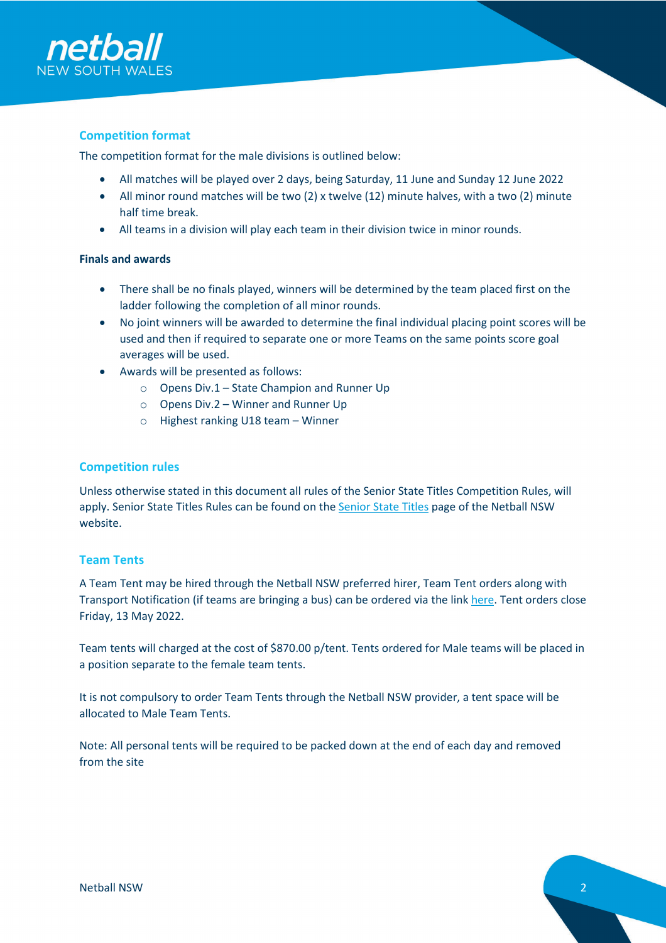

## **Competition format**

The competition format for the male divisions is outlined below:

- All matches will be played over 2 days, being Saturday, 11 June and Sunday 12 June 2022
- All minor round matches will be two (2) x twelve (12) minute halves, with a two (2) minute half time break.
- All teams in a division will play each team in their division twice in minor rounds.

## **Finals and awards**

- There shall be no finals played, winners will be determined by the team placed first on the ladder following the completion of all minor rounds.
- No joint winners will be awarded to determine the final individual placing point scores will be used and then if required to separate one or more Teams on the same points score goal averages will be used.
- Awards will be presented as follows:
	- o Opens Div.1 State Champion and Runner Up
	- o Opens Div.2 Winner and Runner Up
	- o Highest ranking U18 team Winner

## **Competition rules**

Unless otherwise stated in this document all rules of the Senior State Titles Competition Rules, will apply. Senior State Titles Rules can be found on the **Senior State Titles** page of the Netball NSW website.

## **Team Tents**

A Team Tent may be hired through the Netball NSW preferred hirer, Team Tent orders along with Transport Notification (if teams are bringing a bus) can be ordered via the link [here.](https://docs.google.com/forms/d/e/1FAIpQLSepzYicumRE4s4kBwWmQADxHK1wndALDXUMP8gqNrSCDEYrcA/viewform) Tent orders close Friday, 13 May 2022.

Team tents will charged at the cost of \$870.00 p/tent. Tents ordered for Male teams will be placed in a position separate to the female team tents.

It is not compulsory to order Team Tents through the Netball NSW provider, a tent space will be allocated to Male Team Tents.

Note: All personal tents will be required to be packed down at the end of each day and removed from the site